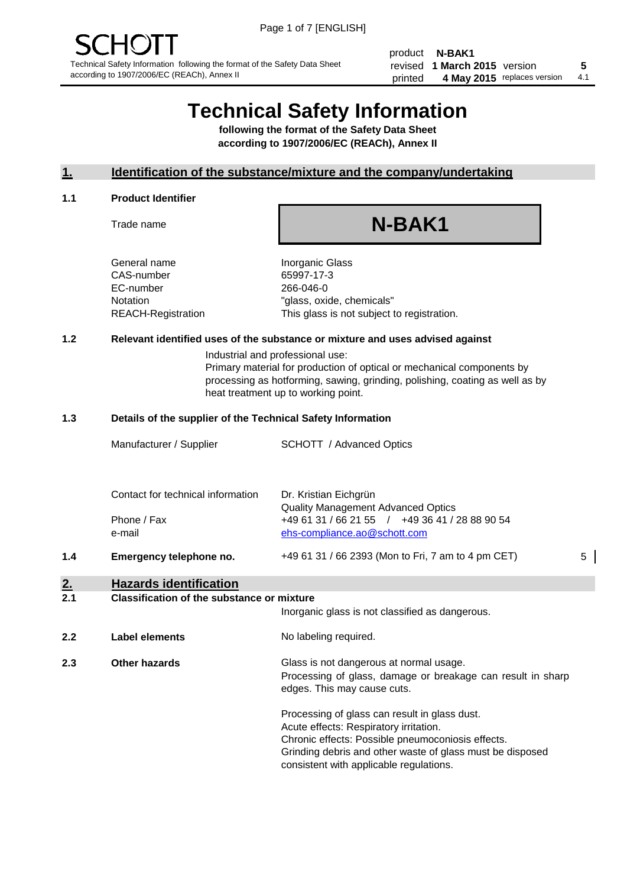product **N-BAK1** revised **5 1 March 2015** version printed 4 May 2015 replaces version 4.1

# **Technical Safety Information**

**following the format of the Safety Data Sheet according to 1907/2006/EC (REACh), Annex II**

#### **1. Identification of the substance/mixture and the company/undertaking**

#### **1.1 Product Identifier**

Trade name

# **N-BAK1**

General name **Inorganic Glass** CAS-number 65997-17-3 EC-number 266-046-0

Notation "glass, oxide, chemicals" REACH-Registration This glass is not subject to registration.

#### **1.2 Relevant identified uses of the substance or mixture and uses advised against**

Industrial and professional use: Primary material for production of optical or mechanical components by processing as hotforming, sawing, grinding, polishing, coating as well as by heat treatment up to working point.

#### **1.3 Details of the supplier of the Technical Safety Information**

|     | Manufacturer / Supplier           | <b>SCHOTT</b> / Advanced Optics                                                                                             |   |
|-----|-----------------------------------|-----------------------------------------------------------------------------------------------------------------------------|---|
|     | Contact for technical information | Dr. Kristian Eichgrün                                                                                                       |   |
|     | Phone / Fax<br>e-mail             | <b>Quality Management Advanced Optics</b><br>+49 61 31 / 66 21 55 / +49 36 41 / 28 88 90 54<br>ehs-compliance.ao@schott.com |   |
| 1.4 | Emergency telephone no.           | +49 61 31 / 66 2393 (Mon to Fri, 7 am to 4 pm CET)                                                                          | 5 |

## **2. Hazards identification**

#### **2.1 Classification of the substance or mixture**

|     |                      | Inorganic glass is not classified as dangerous.                                                                                                                                                                                                      |
|-----|----------------------|------------------------------------------------------------------------------------------------------------------------------------------------------------------------------------------------------------------------------------------------------|
| 2.2 | Label elements       | No labeling required.                                                                                                                                                                                                                                |
| 2.3 | <b>Other hazards</b> | Glass is not dangerous at normal usage.<br>Processing of glass, damage or breakage can result in sharp<br>edges. This may cause cuts.                                                                                                                |
|     |                      | Processing of glass can result in glass dust.<br>Acute effects: Respiratory irritation.<br>Chronic effects: Possible pneumoconiosis effects.<br>Grinding debris and other waste of glass must be disposed<br>consistent with applicable regulations. |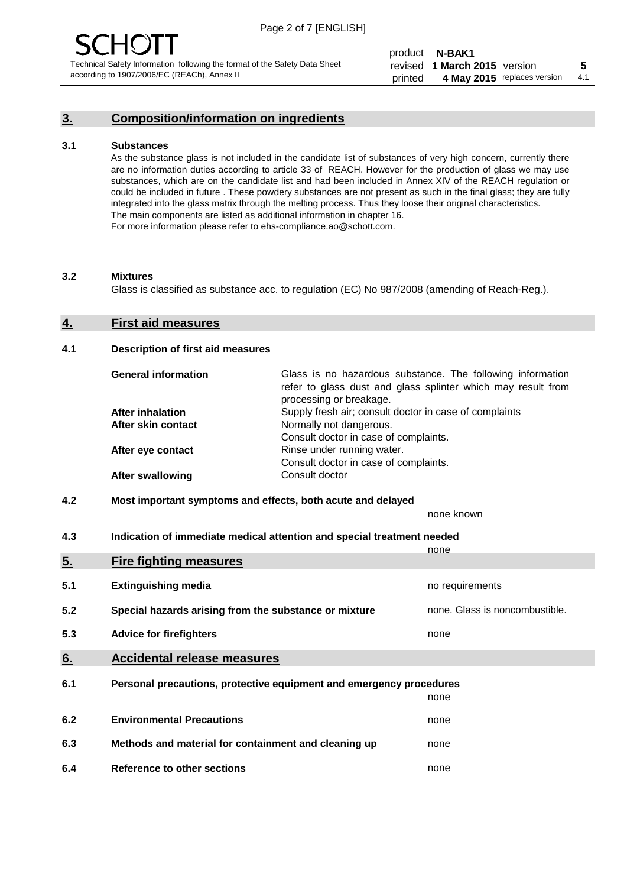### **3. Composition/information on ingredients**

#### **3.1 Substances**

As the substance glass is not included in the candidate list of substances of very high concern, currently there are no information duties according to article 33 of REACH. However for the production of glass we may use substances, which are on the candidate list and had been included in Annex XIV of the REACH regulation or could be included in future . These powdery substances are not present as such in the final glass; they are fully integrated into the glass matrix through the melting process. Thus they loose their original characteristics. The main components are listed as additional information in chapter 16. For more information please refer to ehs-compliance.ao@schott.com.

#### **3.2 Mixtures**

Glass is classified as substance acc. to regulation (EC) No 987/2008 (amending of Reach-Reg.).

#### **4. First aid measures**

#### **4.1 Description of first aid measures**

| <b>General information</b> | Glass is no hazardous substance. The following information<br>refer to glass dust and glass splinter which may result from<br>processing or breakage. |
|----------------------------|-------------------------------------------------------------------------------------------------------------------------------------------------------|
| After inhalation           | Supply fresh air; consult doctor in case of complaints                                                                                                |
| After skin contact         | Normally not dangerous.                                                                                                                               |
|                            | Consult doctor in case of complaints.                                                                                                                 |
| After eye contact          | Rinse under running water.                                                                                                                            |
|                            | Consult doctor in case of complaints.                                                                                                                 |
| <b>After swallowing</b>    | Consult doctor                                                                                                                                        |

#### **4.2 Most important symptoms and effects, both acute and delayed**

none known

**4.3 Indication of immediate medical attention and special treatment needed** 

|     |                                                                     | none                           |
|-----|---------------------------------------------------------------------|--------------------------------|
| 5.  | <b>Fire fighting measures</b>                                       |                                |
| 5.1 | <b>Extinguishing media</b>                                          | no requirements                |
| 5.2 | Special hazards arising from the substance or mixture               | none. Glass is noncombustible. |
| 5.3 | <b>Advice for firefighters</b>                                      | none                           |
| 6.  | <b>Accidental release measures</b>                                  |                                |
| 6.1 | Personal precautions, protective equipment and emergency procedures |                                |
|     |                                                                     | none                           |
| 6.2 | <b>Environmental Precautions</b>                                    | none                           |
| 6.3 | Methods and material for containment and cleaning up                | none                           |
| 6.4 | Reference to other sections                                         | none                           |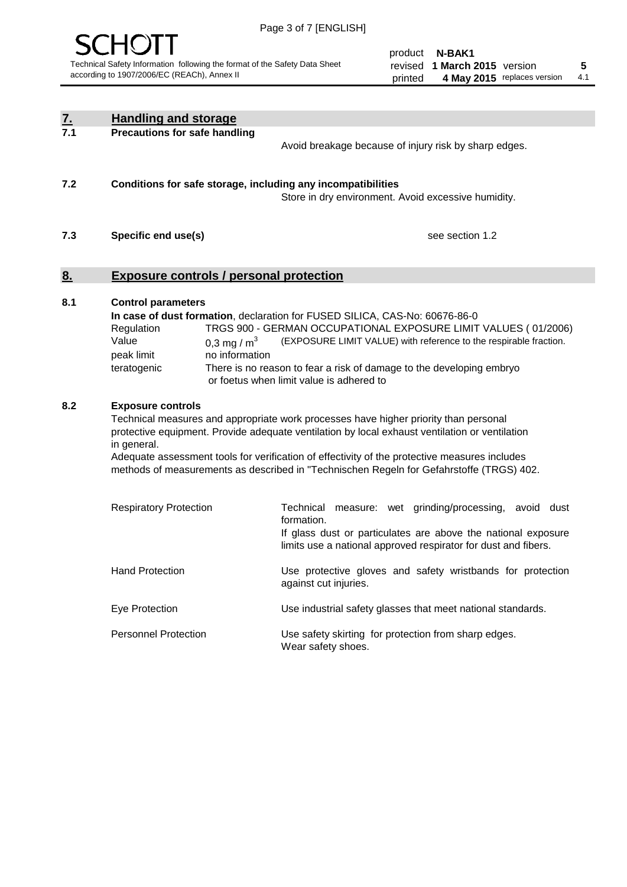

product **N-BAK1** revised **5 1 March 2015** version printed 4 May 2015 replaces version 4.1

| <u>7.</u> | <b>Handling and storage</b>                                                                                                                                                                                                                                                                                                                                                                                                    |                                                                                                                                                                                                                                                                                                                                        |
|-----------|--------------------------------------------------------------------------------------------------------------------------------------------------------------------------------------------------------------------------------------------------------------------------------------------------------------------------------------------------------------------------------------------------------------------------------|----------------------------------------------------------------------------------------------------------------------------------------------------------------------------------------------------------------------------------------------------------------------------------------------------------------------------------------|
| 7.1       | <b>Precautions for safe handling</b>                                                                                                                                                                                                                                                                                                                                                                                           | Avoid breakage because of injury risk by sharp edges.                                                                                                                                                                                                                                                                                  |
| 7.2       | Conditions for safe storage, including any incompatibilities                                                                                                                                                                                                                                                                                                                                                                   | Store in dry environment. Avoid excessive humidity.                                                                                                                                                                                                                                                                                    |
| 7.3       | Specific end use(s)                                                                                                                                                                                                                                                                                                                                                                                                            | see section 1.2                                                                                                                                                                                                                                                                                                                        |
| <u>8.</u> | <b>Exposure controls / personal protection</b>                                                                                                                                                                                                                                                                                                                                                                                 |                                                                                                                                                                                                                                                                                                                                        |
| 8.1       | <b>Control parameters</b><br>Regulation<br>Value<br>0.3 mg / $m3$<br>peak limit<br>no information<br>teratogenic                                                                                                                                                                                                                                                                                                               | In case of dust formation, declaration for FUSED SILICA, CAS-No: 60676-86-0<br>TRGS 900 - GERMAN OCCUPATIONAL EXPOSURE LIMIT VALUES (01/2006)<br>(EXPOSURE LIMIT VALUE) with reference to the respirable fraction.<br>There is no reason to fear a risk of damage to the developing embryo<br>or foetus when limit value is adhered to |
| 8.2       | <b>Exposure controls</b><br>Technical measures and appropriate work processes have higher priority than personal<br>protective equipment. Provide adequate ventilation by local exhaust ventilation or ventilation<br>in general.<br>Adequate assessment tools for verification of effectivity of the protective measures includes<br>methods of measurements as described in "Technischen Regeln for Gefahrstoffe (TRGS) 402. |                                                                                                                                                                                                                                                                                                                                        |
|           | <b>Respiratory Protection</b>                                                                                                                                                                                                                                                                                                                                                                                                  | Technical measure: wet grinding/processing, avoid dust<br>formation.<br>If glass dust or particulates are above the national exposure<br>limits use a national approved respirator for dust and fibers.                                                                                                                                |
|           | <b>Hand Protection</b>                                                                                                                                                                                                                                                                                                                                                                                                         | Use protective gloves and safety wristbands for protection<br>against cut injuries.                                                                                                                                                                                                                                                    |
|           | Eye Protection                                                                                                                                                                                                                                                                                                                                                                                                                 | Use industrial safety glasses that meet national standards.                                                                                                                                                                                                                                                                            |
|           | <b>Personnel Protection</b>                                                                                                                                                                                                                                                                                                                                                                                                    | Use safety skirting for protection from sharp edges.<br>Wear safety shoes.                                                                                                                                                                                                                                                             |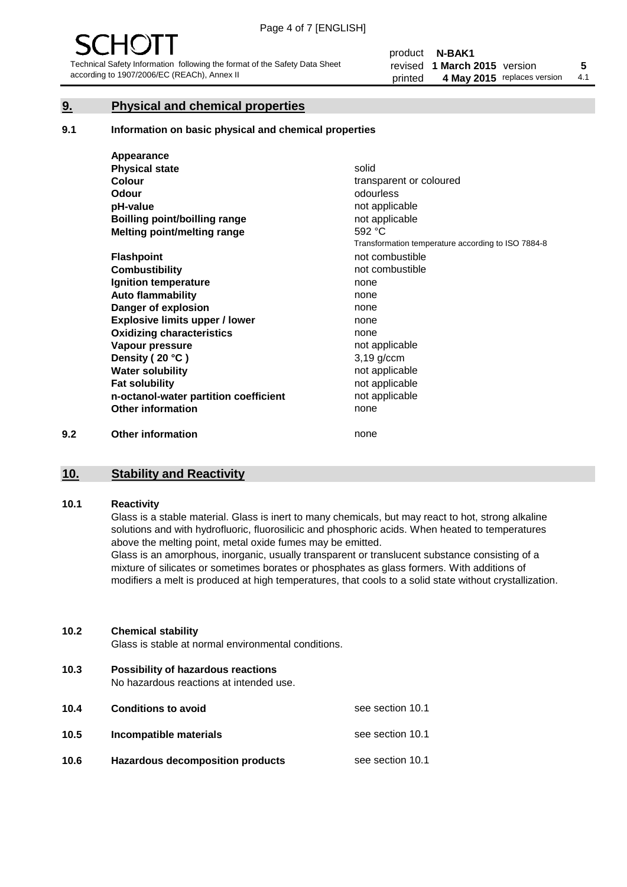#### **9. Physical and chemical properties**

#### **9.1 Information on basic physical and chemical properties**

|     | Appearance                            |                                                    |
|-----|---------------------------------------|----------------------------------------------------|
|     | <b>Physical state</b>                 | solid                                              |
|     | <b>Colour</b>                         | transparent or coloured                            |
|     | Odour                                 | odourless                                          |
|     | pH-value                              | not applicable                                     |
|     | <b>Boilling point/boilling range</b>  | not applicable                                     |
|     | Melting point/melting range           | 592 °C                                             |
|     |                                       | Transformation temperature according to ISO 7884-8 |
|     | <b>Flashpoint</b>                     | not combustible                                    |
|     | <b>Combustibility</b>                 | not combustible                                    |
|     | Ignition temperature                  | none                                               |
|     | <b>Auto flammability</b>              | none                                               |
|     | Danger of explosion                   | none                                               |
|     | <b>Explosive limits upper / lower</b> | none                                               |
|     | <b>Oxidizing characteristics</b>      | none                                               |
|     | Vapour pressure                       | not applicable                                     |
|     | Density (20 °C)                       | $3,19$ g/ccm                                       |
|     | <b>Water solubility</b>               | not applicable                                     |
|     | <b>Fat solubility</b>                 | not applicable                                     |
|     | n-octanol-water partition coefficient | not applicable                                     |
|     | <b>Other information</b>              | none                                               |
| 9.2 | <b>Other information</b>              | none                                               |

#### **10. Stability and Reactivity**

#### **10.1 Reactivity**

Glass is a stable material. Glass is inert to many chemicals, but may react to hot, strong alkaline solutions and with hydrofluoric, fluorosilicic and phosphoric acids. When heated to temperatures above the melting point, metal oxide fumes may be emitted.

Glass is an amorphous, inorganic, usually transparent or translucent substance consisting of a mixture of silicates or sometimes borates or phosphates as glass formers. With additions of modifiers a melt is produced at high temperatures, that cools to a solid state without crystallization.

#### **10.2 Chemical stability**

Glass is stable at normal environmental conditions.

**10.3 Possibility of hazardous reactions** 

No hazardous reactions at intended use.

| 10.4 | <b>Conditions to avoid</b>              | see section 10.1 |
|------|-----------------------------------------|------------------|
| 10.5 | Incompatible materials                  | see section 10.1 |
| 10.6 | <b>Hazardous decomposition products</b> | see section 10.1 |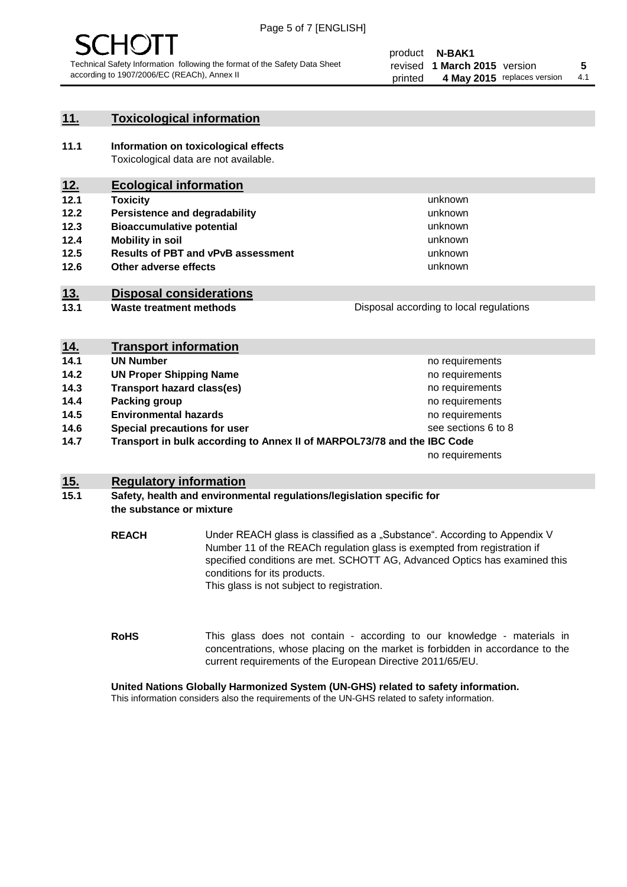

#### **11. Toxicological information**

**11.1 Information on toxicological effects** Toxicological data are not available.

### **12. Ecological information**

- **12.1 Toxicity**
- **12.2 Persistence and degradability**
- **12.3 Bioaccumulative potential**
- **12.4 Mobility in soil**
- **12.5 Results of PBT and vPvB assessment**
- **12.6 Other adverse effects**

#### **13. Disposal considerations**

**13.1 Waste treatment methods**

Disposal according to local regulations

unknown unknown unknown unknown

unknown unknown

| <u>14.</u> | <b>Transport information</b>                                            |                     |
|------------|-------------------------------------------------------------------------|---------------------|
| 14.1       | <b>UN Number</b>                                                        | no requirements     |
| 14.2       | <b>UN Proper Shipping Name</b>                                          | no requirements     |
| 14.3       | <b>Transport hazard class(es)</b>                                       | no requirements     |
| 14.4       | Packing group                                                           | no requirements     |
| 14.5       | <b>Environmental hazards</b>                                            | no requirements     |
| 14.6       | Special precautions for user                                            | see sections 6 to 8 |
| 14.7       | Transport in bulk according to Annex II of MARPOL73/78 and the IBC Code |                     |
|            |                                                                         | no requirements     |

#### **15. Regulatory information**

#### **15.1 Safety, health and environmental regulations/legislation specific for the substance or mixture**

**REACH** Under REACH glass is classified as a "Substance". According to Appendix V Number 11 of the REACh regulation glass is exempted from registration if specified conditions are met. SCHOTT AG, Advanced Optics has examined this conditions for its products. This glass is not subject to registration.

**RoHS** This glass does not contain - according to our knowledge - materials in concentrations, whose placing on the market is forbidden in accordance to the current requirements of the European Directive 2011/65/EU.

#### **United Nations Globally Harmonized System (UN-GHS) related to safety information.**

This information considers also the requirements of the UN-GHS related to safety information.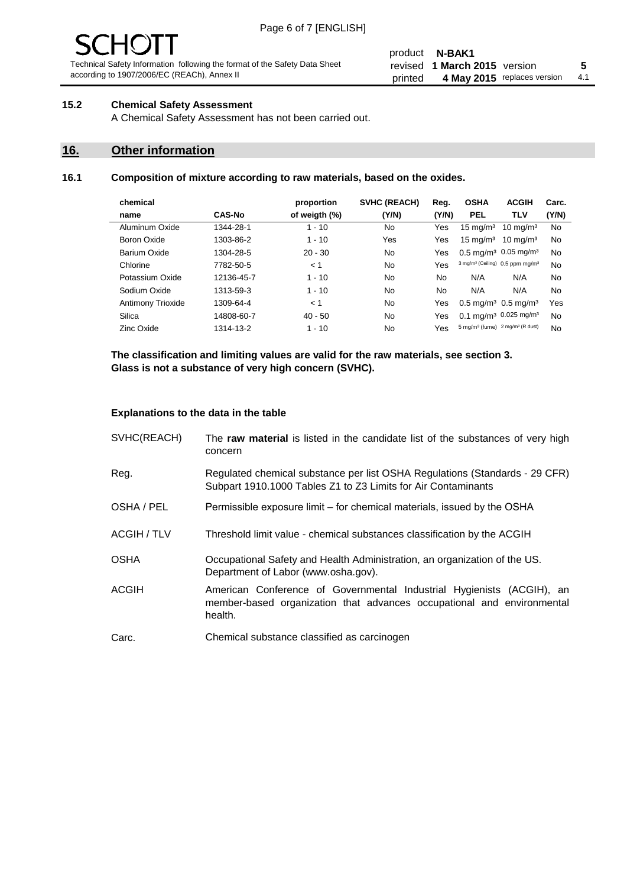# - JF

Technical Safety Information following the format of the Safety Data Sheet according to 1907/2006/EC (REACh), Annex II

#### product **N-BAK1** revised **5 1 March 2015** version printed 4 May 2015 replaces version 4.1

#### **15.2 Chemical Safety Assessment**

A Chemical Safety Assessment has not been carried out.

#### **16. Other information**

#### **16.1 Composition of mixture according to raw materials, based on the oxides.**

| chemical           |               | proportion    | <b>SVHC (REACH)</b> | Reg.  | <b>OSHA</b>                                             | <b>ACGIH</b>        | Carc. |
|--------------------|---------------|---------------|---------------------|-------|---------------------------------------------------------|---------------------|-------|
| name               | <b>CAS-No</b> | of weigth (%) | (Y/N)               | (Y/N) | <b>PEL</b>                                              | <b>TLV</b>          | (Y/N) |
| Aluminum Oxide     | 1344-28-1     | $1 - 10$      | No.                 | Yes   | $15 \text{ ma/m}^3$                                     | $10 \text{ mg/m}^3$ | No    |
| <b>Boron Oxide</b> | 1303-86-2     | $1 - 10$      | Yes                 | Yes   | $15 \text{ mg/m}^3$                                     | $10 \text{ mg/m}^3$ | No    |
| Barium Oxide       | 1304-28-5     | $20 - 30$     | No.                 | Yes   | $0.5 \text{ mg/m}^3$ 0.05 mg/m <sup>3</sup>             |                     | No    |
| Chlorine           | 7782-50-5     | < 1           | No.                 | Yes   | 3 mg/m <sup>3</sup> (Ceiling) 0.5 ppm mg/m <sup>3</sup> |                     | No    |
| Potassium Oxide    | 12136-45-7    | $1 - 10$      | No.                 | No    | N/A                                                     | N/A                 | No    |
| Sodium Oxide       | 1313-59-3     | $1 - 10$      | No.                 | No    | N/A                                                     | N/A                 | No    |
| Antimony Trioxide  | 1309-64-4     | < 1           | No.                 | Yes   | $0.5 \,\mathrm{mq/m^3}$ 0.5 mg/m <sup>3</sup>           |                     | Yes   |
| Silica             | 14808-60-7    | $40 - 50$     | No.                 | Yes   | $0.1 \text{ mg/m}^3$ 0.025 mg/m <sup>3</sup>            |                     | No    |
| Zinc Oxide         | 1314-13-2     | $1 - 10$      | No.                 | Yes   | 5 mg/m <sup>3</sup> (fume) 2 mg/m <sup>3</sup> (R dust) |                     | No    |

**The classification and limiting values are valid for the raw materials, see section 3. Glass is not a substance of very high concern (SVHC).**

#### **Explanations to the data in the table**

| SVHC(REACH)        | The raw material is listed in the candidate list of the substances of very high<br>concern                                                                 |
|--------------------|------------------------------------------------------------------------------------------------------------------------------------------------------------|
| Reg.               | Regulated chemical substance per list OSHA Regulations (Standards - 29 CFR)<br>Subpart 1910.1000 Tables Z1 to Z3 Limits for Air Contaminants               |
| OSHA / PEL         | Permissible exposure limit – for chemical materials, issued by the OSHA                                                                                    |
| <b>ACGIH / TLV</b> | Threshold limit value - chemical substances classification by the ACGIH                                                                                    |
| <b>OSHA</b>        | Occupational Safety and Health Administration, an organization of the US.<br>Department of Labor (www.osha.gov).                                           |
| <b>ACGIH</b>       | American Conference of Governmental Industrial Hygienists (ACGIH), an<br>member-based organization that advances occupational and environmental<br>health. |
| Carc.              | Chemical substance classified as carcinogen                                                                                                                |